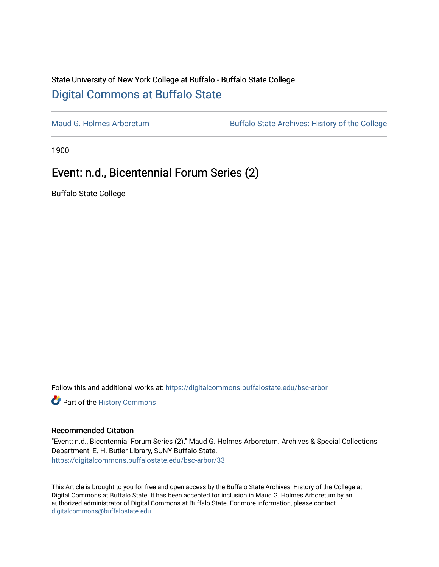## State University of New York College at Buffalo - Buffalo State College [Digital Commons at Buffalo State](https://digitalcommons.buffalostate.edu/)

[Maud G. Holmes Arboretum](https://digitalcommons.buffalostate.edu/bsc-arbor) Buffalo State Archives: History of the College

1900

## Event: n.d., Bicentennial Forum Series (2)

Buffalo State College

Follow this and additional works at: [https://digitalcommons.buffalostate.edu/bsc-arbor](https://digitalcommons.buffalostate.edu/bsc-arbor?utm_source=digitalcommons.buffalostate.edu%2Fbsc-arbor%2F33&utm_medium=PDF&utm_campaign=PDFCoverPages) 

Part of the [History Commons](http://network.bepress.com/hgg/discipline/489?utm_source=digitalcommons.buffalostate.edu%2Fbsc-arbor%2F33&utm_medium=PDF&utm_campaign=PDFCoverPages) 

## Recommended Citation

"Event: n.d., Bicentennial Forum Series (2)." Maud G. Holmes Arboretum. Archives & Special Collections Department, E. H. Butler Library, SUNY Buffalo State. [https://digitalcommons.buffalostate.edu/bsc-arbor/33](https://digitalcommons.buffalostate.edu/bsc-arbor/33?utm_source=digitalcommons.buffalostate.edu%2Fbsc-arbor%2F33&utm_medium=PDF&utm_campaign=PDFCoverPages) 

This Article is brought to you for free and open access by the Buffalo State Archives: History of the College at Digital Commons at Buffalo State. It has been accepted for inclusion in Maud G. Holmes Arboretum by an authorized administrator of Digital Commons at Buffalo State. For more information, please contact [digitalcommons@buffalostate.edu.](mailto:digitalcommons@buffalostate.edu)